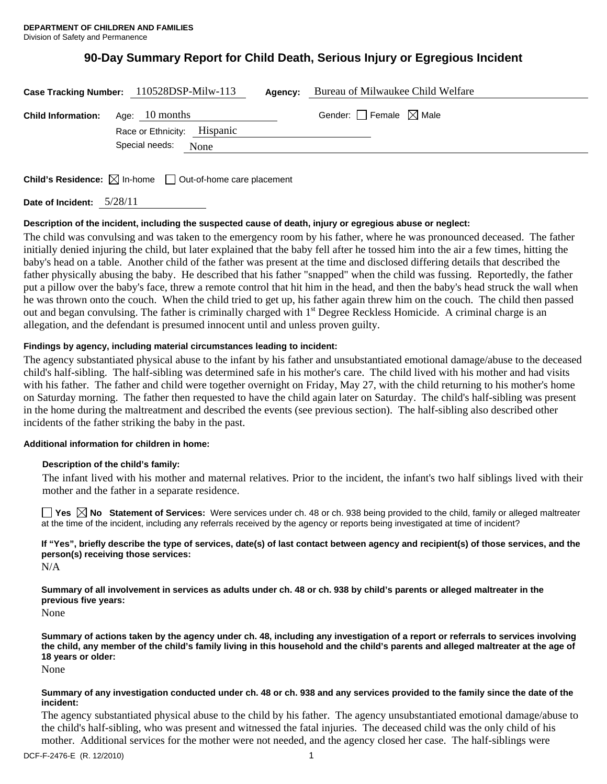# **90-Day Summary Report for Child Death, Serious Injury or Egregious Incident**

|                           | Case Tracking Number: 110528DSP-Milw-113      | Agency: | Bureau of Milwaukee Child Welfare |
|---------------------------|-----------------------------------------------|---------|-----------------------------------|
| <b>Child Information:</b> | Age: 10 months<br>Race or Ethnicity: Hispanic |         | Gender: Female $\boxtimes$ Male   |
|                           | Special needs: None                           |         |                                   |
|                           |                                               |         |                                   |

**Child's Residence:**  $\boxtimes$  In-home  $\Box$  Out-of-home care placement

**Date of Incident:** 5/28/11

## **Description of the incident, including the suspected cause of death, injury or egregious abuse or neglect:**

The child was convulsing and was taken to the emergency room by his father, where he was pronounced deceased. The father initially denied injuring the child, but later explained that the baby fell after he tossed him into the air a few times, hitting the baby's head on a table. Another child of the father was present at the time and disclosed differing details that described the father physically abusing the baby. He described that his father "snapped" when the child was fussing. Reportedly, the father put a pillow over the baby's face, threw a remote control that hit him in the head, and then the baby's head struck the wall when he was thrown onto the couch. When the child tried to get up, his father again threw him on the couch. The child then passed out and began convulsing. The father is criminally charged with 1<sup>st</sup> Degree Reckless Homicide. A criminal charge is an allegation, and the defendant is presumed innocent until and unless proven guilty.

## **Findings by agency, including material circumstances leading to incident:**

The agency substantiated physical abuse to the infant by his father and unsubstantiated emotional damage/abuse to the deceased child's half-sibling. The half-sibling was determined safe in his mother's care. The child lived with his mother and had visits with his father. The father and child were together overnight on Friday, May 27, with the child returning to his mother's home on Saturday morning. The father then requested to have the child again later on Saturday. The child's half-sibling was present in the home during the maltreatment and described the events (see previous section). The half-sibling also described other incidents of the father striking the baby in the past.

## **Additional information for children in home:**

#### **Description of the child's family:**

The infant lived with his mother and maternal relatives. Prior to the incident, the infant's two half siblings lived with their mother and the father in a separate residence.

■ Yes **No** Statement of Services: Were services under ch. 48 or ch. 938 being provided to the child, family or alleged maltreater at the time of the incident, including any referrals received by the agency or reports being investigated at time of incident?

**If "Yes", briefly describe the type of services, date(s) of last contact between agency and recipient(s) of those services, and the person(s) receiving those services:** 

N/A

**Summary of all involvement in services as adults under ch. 48 or ch. 938 by child's parents or alleged maltreater in the previous five years:** 

None

**Summary of actions taken by the agency under ch. 48, including any investigation of a report or referrals to services involving the child, any member of the child's family living in this household and the child's parents and alleged maltreater at the age of 18 years or older:** 

None

#### **Summary of any investigation conducted under ch. 48 or ch. 938 and any services provided to the family since the date of the incident:**

The agency substantiated physical abuse to the child by his father. The agency unsubstantiated emotional damage/abuse to the child's half-sibling, who was present and witnessed the fatal injuries. The deceased child was the only child of his mother. Additional services for the mother were not needed, and the agency closed her case. The half-siblings were